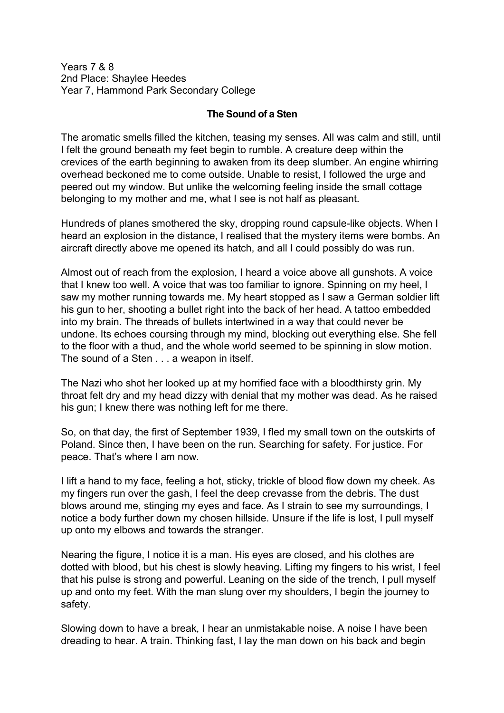Years 7 & 8 2nd Place: Shaylee Heedes Year 7, Hammond Park Secondary College

## **The Sound of a Sten**

The aromatic smells filled the kitchen, teasing my senses. All was calm and still, until I felt the ground beneath my feet begin to rumble. A creature deep within the crevices of the earth beginning to awaken from its deep slumber. An engine whirring overhead beckoned me to come outside. Unable to resist, I followed the urge and peered out my window. But unlike the welcoming feeling inside the small cottage belonging to my mother and me, what I see is not half as pleasant.

Hundreds of planes smothered the sky, dropping round capsule-like objects. When I heard an explosion in the distance, I realised that the mystery items were bombs. An aircraft directly above me opened its hatch, and all I could possibly do was run.

Almost out of reach from the explosion, I heard a voice above all gunshots. A voice that I knew too well. A voice that was too familiar to ignore. Spinning on my heel, I saw my mother running towards me. My heart stopped as I saw a German soldier lift his gun to her, shooting a bullet right into the back of her head. A tattoo embedded into my brain. The threads of bullets intertwined in a way that could never be undone. Its echoes coursing through my mind, blocking out everything else. She fell to the floor with a thud, and the whole world seemed to be spinning in slow motion. The sound of a Sten . . . a weapon in itself.

The Nazi who shot her looked up at my horrified face with a bloodthirsty grin. My throat felt dry and my head dizzy with denial that my mother was dead. As he raised his gun; I knew there was nothing left for me there.

So, on that day, the first of September 1939, I fled my small town on the outskirts of Poland. Since then, I have been on the run. Searching for safety. For justice. For peace. That's where I am now.

I lift a hand to my face, feeling a hot, sticky, trickle of blood flow down my cheek. As my fingers run over the gash, I feel the deep crevasse from the debris. The dust blows around me, stinging my eyes and face. As I strain to see my surroundings, I notice a body further down my chosen hillside. Unsure if the life is lost, I pull myself up onto my elbows and towards the stranger.

Nearing the figure, I notice it is a man. His eyes are closed, and his clothes are dotted with blood, but his chest is slowly heaving. Lifting my fingers to his wrist, I feel that his pulse is strong and powerful. Leaning on the side of the trench, I pull myself up and onto my feet. With the man slung over my shoulders, I begin the journey to safety.

Slowing down to have a break, I hear an unmistakable noise. A noise I have been dreading to hear. A train. Thinking fast, I lay the man down on his back and begin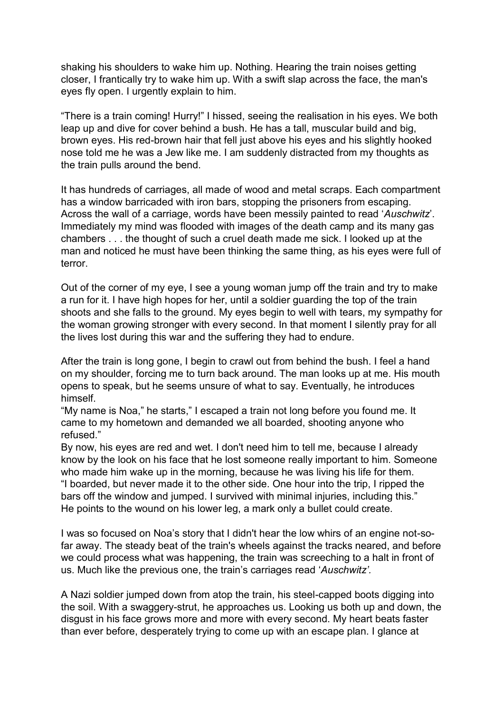shaking his shoulders to wake him up. Nothing. Hearing the train noises getting closer, I frantically try to wake him up. With a swift slap across the face, the man's eyes fly open. I urgently explain to him.

"There is a train coming! Hurry!" I hissed, seeing the realisation in his eyes. We both leap up and dive for cover behind a bush. He has a tall, muscular build and big, brown eyes. His red-brown hair that fell just above his eyes and his slightly hooked nose told me he was a Jew like me. I am suddenly distracted from my thoughts as the train pulls around the bend.

It has hundreds of carriages, all made of wood and metal scraps. Each compartment has a window barricaded with iron bars, stopping the prisoners from escaping. Across the wall of a carriage, words have been messily painted to read '*Auschwitz*'. Immediately my mind was flooded with images of the death camp and its many gas chambers . . . the thought of such a cruel death made me sick. I looked up at the man and noticed he must have been thinking the same thing, as his eyes were full of terror.

Out of the corner of my eye, I see a young woman jump off the train and try to make a run for it. I have high hopes for her, until a soldier guarding the top of the train shoots and she falls to the ground. My eyes begin to well with tears, my sympathy for the woman growing stronger with every second. In that moment I silently pray for all the lives lost during this war and the suffering they had to endure.

After the train is long gone, I begin to crawl out from behind the bush. I feel a hand on my shoulder, forcing me to turn back around. The man looks up at me. His mouth opens to speak, but he seems unsure of what to say. Eventually, he introduces himself.

"My name is Noa," he starts," I escaped a train not long before you found me. It came to my hometown and demanded we all boarded, shooting anyone who refused"

By now, his eyes are red and wet. I don't need him to tell me, because I already know by the look on his face that he lost someone really important to him. Someone who made him wake up in the morning, because he was living his life for them. "I boarded, but never made it to the other side. One hour into the trip, I ripped the bars off the window and jumped. I survived with minimal injuries, including this." He points to the wound on his lower leg, a mark only a bullet could create.

I was so focused on Noa's story that I didn't hear the low whirs of an engine not-sofar away. The steady beat of the train's wheels against the tracks neared, and before we could process what was happening, the train was screeching to a halt in front of us. Much like the previous one, the train's carriages read '*Auschwitz'.*

A Nazi soldier jumped down from atop the train, his steel-capped boots digging into the soil. With a swaggery-strut, he approaches us. Looking us both up and down, the disgust in his face grows more and more with every second. My heart beats faster than ever before, desperately trying to come up with an escape plan. I glance at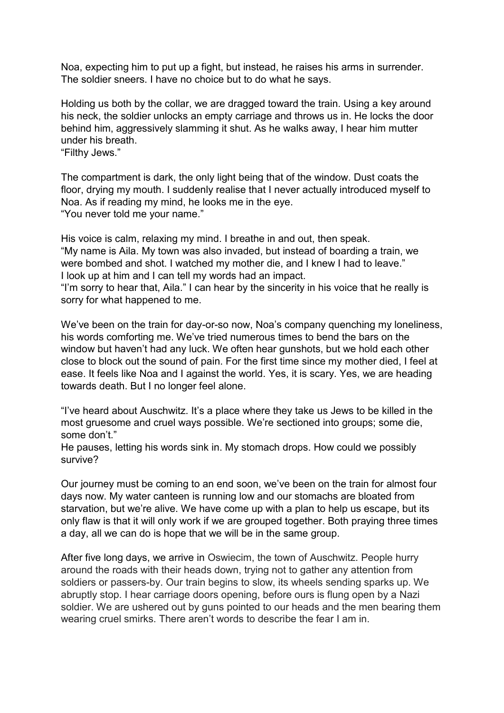Noa, expecting him to put up a fight, but instead, he raises his arms in surrender. The soldier sneers. I have no choice but to do what he says.

Holding us both by the collar, we are dragged toward the train. Using a key around his neck, the soldier unlocks an empty carriage and throws us in. He locks the door behind him, aggressively slamming it shut. As he walks away, I hear him mutter under his breath.

"Filthy Jews."

The compartment is dark, the only light being that of the window. Dust coats the floor, drying my mouth. I suddenly realise that I never actually introduced myself to Noa. As if reading my mind, he looks me in the eye. "You never told me your name."

His voice is calm, relaxing my mind. I breathe in and out, then speak. "My name is Aila. My town was also invaded, but instead of boarding a train, we were bombed and shot. I watched my mother die, and I knew I had to leave." I look up at him and I can tell my words had an impact.

"I'm sorry to hear that, Aila." I can hear by the sincerity in his voice that he really is sorry for what happened to me.

We've been on the train for day-or-so now, Noa's company quenching my loneliness, his words comforting me. We've tried numerous times to bend the bars on the window but haven't had any luck. We often hear gunshots, but we hold each other close to block out the sound of pain. For the first time since my mother died, I feel at ease. It feels like Noa and I against the world. Yes, it is scary. Yes, we are heading towards death. But I no longer feel alone.

"I've heard about Auschwitz. It's a place where they take us Jews to be killed in the most gruesome and cruel ways possible. We're sectioned into groups; some die, some don't."

He pauses, letting his words sink in. My stomach drops. How could we possibly survive?

Our journey must be coming to an end soon, we've been on the train for almost four days now. My water canteen is running low and our stomachs are bloated from starvation, but we're alive. We have come up with a plan to help us escape, but its only flaw is that it will only work if we are grouped together. Both praying three times a day, all we can do is hope that we will be in the same group.

After five long days, we arrive in Oswiecim, the town of Auschwitz. People hurry around the roads with their heads down, trying not to gather any attention from soldiers or passers-by. Our train begins to slow, its wheels sending sparks up. We abruptly stop. I hear carriage doors opening, before ours is flung open by a Nazi soldier. We are ushered out by guns pointed to our heads and the men bearing them wearing cruel smirks. There aren't words to describe the fear I am in.